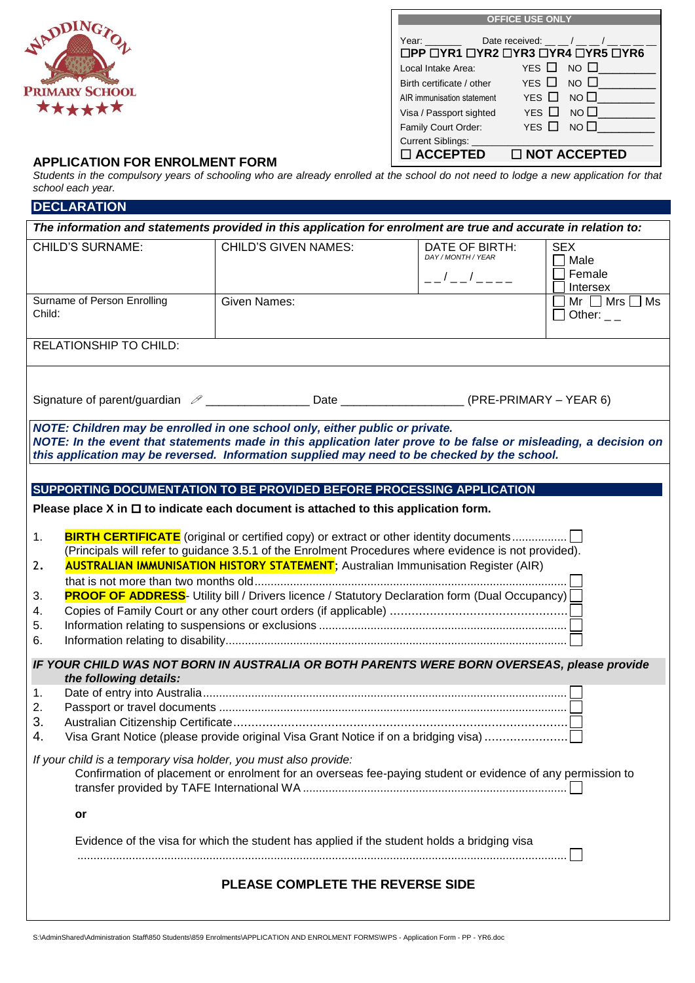

| <b>OFFICE USE ONLY</b>     |                                                                                                           |  |  |  |
|----------------------------|-----------------------------------------------------------------------------------------------------------|--|--|--|
| Year: $\qquad \qquad$      | Date received: $\_\_/\_\_$<br>$\Box$ PP $\Box$ YR1 $\Box$ YR2 $\Box$ YR3 $\Box$ YR4 $\Box$ YR5 $\Box$ YR6 |  |  |  |
| Local Intake Area:         | YES $\Box$ NO $\Box$                                                                                      |  |  |  |
| Birth certificate / other  | YES $\Box$ NO $\Box$                                                                                      |  |  |  |
| AIR immunisation statement | YES $\Box$ NO $\Box$                                                                                      |  |  |  |
| Visa / Passport sighted    | YES $\Box$<br>NO $\square$                                                                                |  |  |  |
| Family Court Order:        | YFS <b>N</b><br>NO <sub>1</sub>                                                                           |  |  |  |
| Current Siblings: _        |                                                                                                           |  |  |  |
| □ ACCEPTED                 | $\Box$ NOT ACCEPTED                                                                                       |  |  |  |

## **APPLICATION FOR ENROLMENT FORM**

*Students in the compulsory years of schooling who are already enrolled at the school do not need to lodge a new application for that school each year.*

| <b>DECLARATION</b>                                               |                                                                                                                                                                                                                                                                                                             |                                                            |                                                 |
|------------------------------------------------------------------|-------------------------------------------------------------------------------------------------------------------------------------------------------------------------------------------------------------------------------------------------------------------------------------------------------------|------------------------------------------------------------|-------------------------------------------------|
|                                                                  | The information and statements provided in this application for enrolment are true and accurate in relation to:                                                                                                                                                                                             |                                                            |                                                 |
| <b>CHILD'S SURNAME:</b>                                          | <b>CHILD'S GIVEN NAMES:</b>                                                                                                                                                                                                                                                                                 | DATE OF BIRTH:<br>DAY / MONTH / YEAR<br>$  /$ $  /$ $   -$ | <b>SEX</b><br>$\Box$ Male<br>Female<br>Intersex |
| Surname of Person Enrolling<br>Child:                            | <b>Given Names:</b>                                                                                                                                                                                                                                                                                         |                                                            | Mr $\Box$ Mrs $\Box$ Ms<br>$\Box$ Other: $\Box$ |
| RELATIONSHIP TO CHILD:                                           |                                                                                                                                                                                                                                                                                                             |                                                            |                                                 |
|                                                                  | Signature of parent/guardian 2 ___________________Date __________________(PRE-PRIMARY - YEAR 6)                                                                                                                                                                                                             |                                                            |                                                 |
|                                                                  | NOTE: Children may be enrolled in one school only, either public or private.<br>NOTE: In the event that statements made in this application later prove to be false or misleading, a decision on<br>this application may be reversed. Information supplied may need to be checked by the school.            |                                                            |                                                 |
|                                                                  | SUPPORTING DOCUMENTATION TO BE PROVIDED BEFORE PROCESSING APPLICATION                                                                                                                                                                                                                                       |                                                            |                                                 |
|                                                                  | Please place X in $\Box$ to indicate each document is attached to this application form.                                                                                                                                                                                                                    |                                                            |                                                 |
| 1.<br>2.<br>3.<br>4.<br>5.<br>6.                                 | (Principals will refer to guidance 3.5.1 of the Enrolment Procedures where evidence is not provided).<br><b>AUSTRALIAN IMMUNISATION HISTORY STATEMENT</b> ; Australian Immunisation Register (AIR)<br><b>PROOF OF ADDRESS-</b> Utility bill / Drivers licence / Statutory Declaration form (Dual Occupancy) |                                                            |                                                 |
|                                                                  | IF YOUR CHILD WAS NOT BORN IN AUSTRALIA OR BOTH PARENTS WERE BORN OVERSEAS, please provide                                                                                                                                                                                                                  |                                                            |                                                 |
| the following details:<br>1.<br>2.<br>3.<br>4.                   | Visa Grant Notice (please provide original Visa Grant Notice if on a bridging visa)                                                                                                                                                                                                                         |                                                            |                                                 |
| If your child is a temporary visa holder, you must also provide: | Confirmation of placement or enrolment for an overseas fee-paying student or evidence of any permission to                                                                                                                                                                                                  |                                                            |                                                 |
| or                                                               |                                                                                                                                                                                                                                                                                                             |                                                            |                                                 |
|                                                                  | Evidence of the visa for which the student has applied if the student holds a bridging visa                                                                                                                                                                                                                 |                                                            |                                                 |
|                                                                  | PLEASE COMPLETE THE REVERSE SIDE                                                                                                                                                                                                                                                                            |                                                            |                                                 |